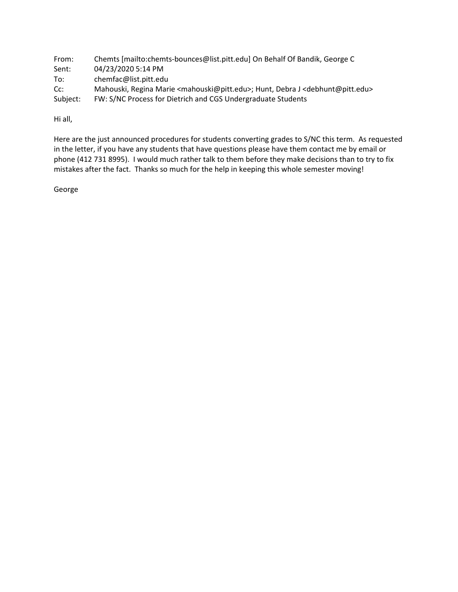From: Chemts [mailto:chemts‐bounces@list.pitt.edu] On Behalf Of Bandik, George C Sent: 04/23/2020 5:14 PM To: chemfac@list.pitt.edu Cc: Mahouski, Regina Marie <mahouski@pitt.edu>; Hunt, Debra J <debhunt@pitt.edu> Subject: FW: S/NC Process for Dietrich and CGS Undergraduate Students

Hi all,

Here are the just announced procedures for students converting grades to S/NC this term. As requested in the letter, if you have any students that have questions please have them contact me by email or phone (412 731 8995). I would much rather talk to them before they make decisions than to try to fix mistakes after the fact. Thanks so much for the help in keeping this whole semester moving!

George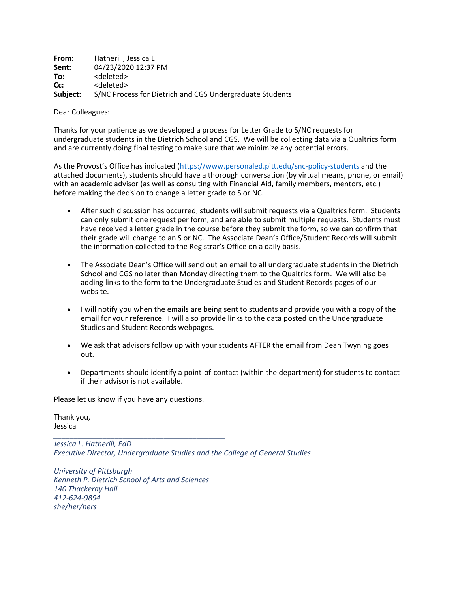**From:** Hatherill, Jessica L **Sent:** 04/23/2020 12:37 PM To: <deleted> **Cc:** <deleted> **Subject:** S/NC Process for Dietrich and CGS Undergraduate Students

Dear Colleagues:

Thanks for your patience as we developed a process for Letter Grade to S/NC requests for undergraduate students in the Dietrich School and CGS. We will be collecting data via a Qualtrics form and are currently doing final testing to make sure that we minimize any potential errors.

As the Provost's Office has indicated (https://www.personaled.pitt.edu/snc‐policy‐students and the attached documents), students should have a thorough conversation (by virtual means, phone, or email) with an academic advisor (as well as consulting with Financial Aid, family members, mentors, etc.) before making the decision to change a letter grade to S or NC.

- After such discussion has occurred, students will submit requests via a Qualtrics form. Students can only submit one request per form, and are able to submit multiple requests. Students must have received a letter grade in the course before they submit the form, so we can confirm that their grade will change to an S or NC. The Associate Dean's Office/Student Records will submit the information collected to the Registrar's Office on a daily basis.
- The Associate Dean's Office will send out an email to all undergraduate students in the Dietrich School and CGS no later than Monday directing them to the Qualtrics form. We will also be adding links to the form to the Undergraduate Studies and Student Records pages of our website.
- I will notify you when the emails are being sent to students and provide you with a copy of the email for your reference. I will also provide links to the data posted on the Undergraduate Studies and Student Records webpages.
- We ask that advisors follow up with your students AFTER the email from Dean Twyning goes out.
- Departments should identify a point-of-contact (within the department) for students to contact if their advisor is not available.

Please let us know if you have any questions.

Thank you, Jessica

*\_\_\_\_\_\_\_\_\_\_\_\_\_\_\_\_\_\_\_\_\_\_\_\_\_\_\_\_\_\_\_\_\_\_\_\_\_\_\_\_\_\_ Jessica L. Hatherill, EdD Executive Director, Undergraduate Studies and the College of General Studies*

*University of Pittsburgh Kenneth P. Dietrich School of Arts and Sciences 140 Thackeray Hall 412‐624‐9894 she/her/hers*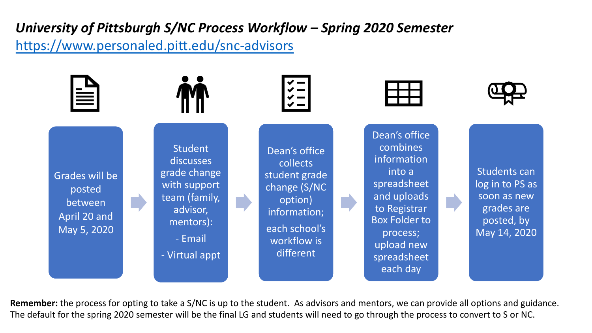## *University of Pittsburgh S/NC Process Workflow – Spring 2020 Semester* <https://www.personaled.pitt.edu/snc-advisors>



**Remember:** the process for opting to take a S/NC is up to the student. As advisors and mentors, we can provide all options and guidance. The default for the spring 2020 semester will be the final LG and students will need to go through the process to convert to S or NC.